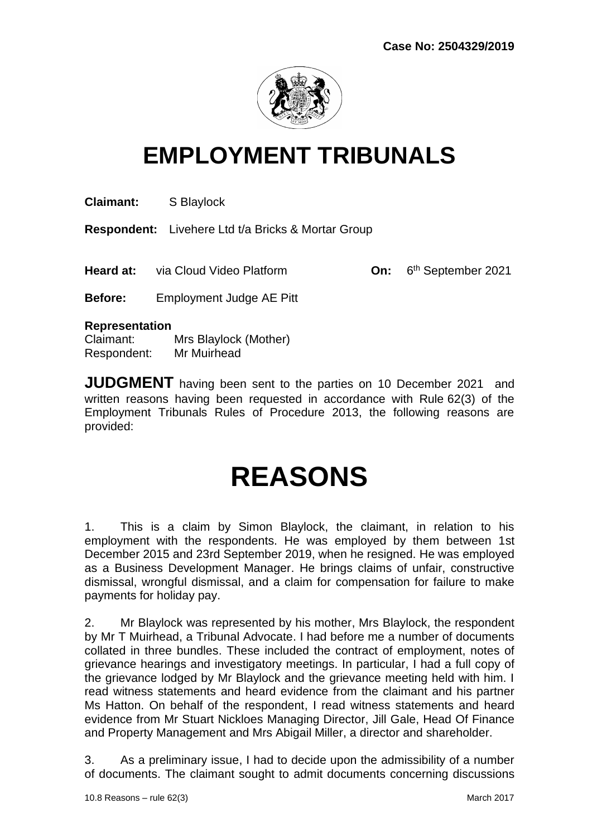

# **EMPLOYMENT TRIBUNALS**

**Claimant:** S Blaylock

**Respondent:** Livehere Ltd t/a Bricks & Mortar Group

**Heard at:** via Cloud Video Platform **On:** 

6<sup>th</sup> September 2021

**Before:** Employment Judge AE Pitt

#### **Representation**

Claimant: Mrs Blaylock (Mother) Respondent: Mr Muirhead

**JUDGMENT** having been sent to the parties on 10 December 2021 and written reasons having been requested in accordance with Rule 62(3) of the Employment Tribunals Rules of Procedure 2013, the following reasons are provided:

# **REASONS**

1. This is a claim by Simon Blaylock, the claimant, in relation to his employment with the respondents. He was employed by them between 1st December 2015 and 23rd September 2019, when he resigned. He was employed as a Business Development Manager. He brings claims of unfair, constructive dismissal, wrongful dismissal, and a claim for compensation for failure to make payments for holiday pay.

2. Mr Blaylock was represented by his mother, Mrs Blaylock, the respondent by Mr T Muirhead, a Tribunal Advocate. I had before me a number of documents collated in three bundles. These included the contract of employment, notes of grievance hearings and investigatory meetings. In particular, I had a full copy of the grievance lodged by Mr Blaylock and the grievance meeting held with him. I read witness statements and heard evidence from the claimant and his partner Ms Hatton. On behalf of the respondent, I read witness statements and heard evidence from Mr Stuart Nickloes Managing Director, Jill Gale, Head Of Finance and Property Management and Mrs Abigail Miller, a director and shareholder.

3. As a preliminary issue, I had to decide upon the admissibility of a number of documents. The claimant sought to admit documents concerning discussions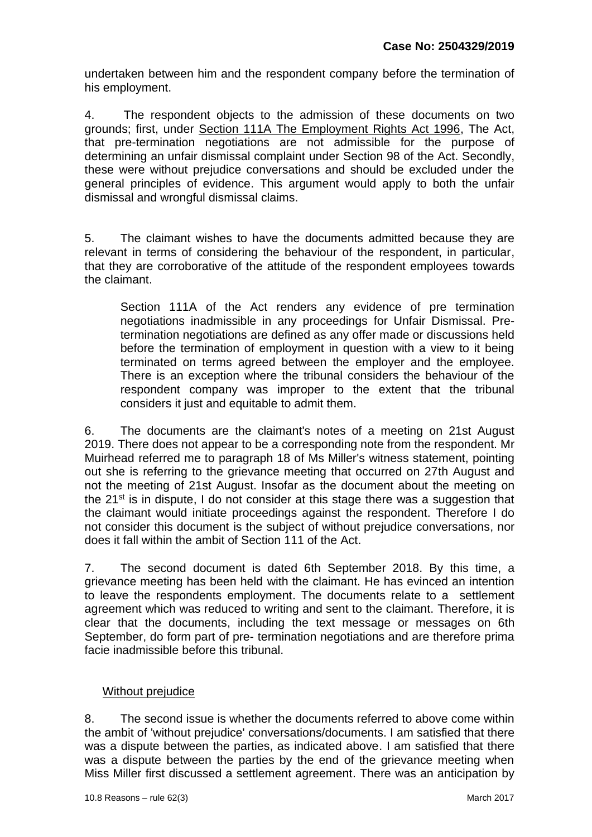undertaken between him and the respondent company before the termination of his employment.

4. The respondent objects to the admission of these documents on two grounds; first, under Section 111A The Employment Rights Act 1996, The Act, that pre-termination negotiations are not admissible for the purpose of determining an unfair dismissal complaint under Section 98 of the Act. Secondly, these were without prejudice conversations and should be excluded under the general principles of evidence. This argument would apply to both the unfair dismissal and wrongful dismissal claims.

5. The claimant wishes to have the documents admitted because they are relevant in terms of considering the behaviour of the respondent, in particular, that they are corroborative of the attitude of the respondent employees towards the claimant.

Section 111A of the Act renders any evidence of pre termination negotiations inadmissible in any proceedings for Unfair Dismissal. Pretermination negotiations are defined as any offer made or discussions held before the termination of employment in question with a view to it being terminated on terms agreed between the employer and the employee. There is an exception where the tribunal considers the behaviour of the respondent company was improper to the extent that the tribunal considers it just and equitable to admit them.

6. The documents are the claimant's notes of a meeting on 21st August 2019. There does not appear to be a corresponding note from the respondent. Mr Muirhead referred me to paragraph 18 of Ms Miller's witness statement, pointing out she is referring to the grievance meeting that occurred on 27th August and not the meeting of 21st August. Insofar as the document about the meeting on the  $21^{st}$  is in dispute. I do not consider at this stage there was a suggestion that the claimant would initiate proceedings against the respondent. Therefore I do not consider this document is the subject of without prejudice conversations, nor does it fall within the ambit of Section 111 of the Act.

7. The second document is dated 6th September 2018. By this time, a grievance meeting has been held with the claimant. He has evinced an intention to leave the respondents employment. The documents relate to a settlement agreement which was reduced to writing and sent to the claimant. Therefore, it is clear that the documents, including the text message or messages on 6th September, do form part of pre- termination negotiations and are therefore prima facie inadmissible before this tribunal.

#### Without prejudice

8. The second issue is whether the documents referred to above come within the ambit of 'without prejudice' conversations/documents. I am satisfied that there was a dispute between the parties, as indicated above. I am satisfied that there was a dispute between the parties by the end of the grievance meeting when Miss Miller first discussed a settlement agreement. There was an anticipation by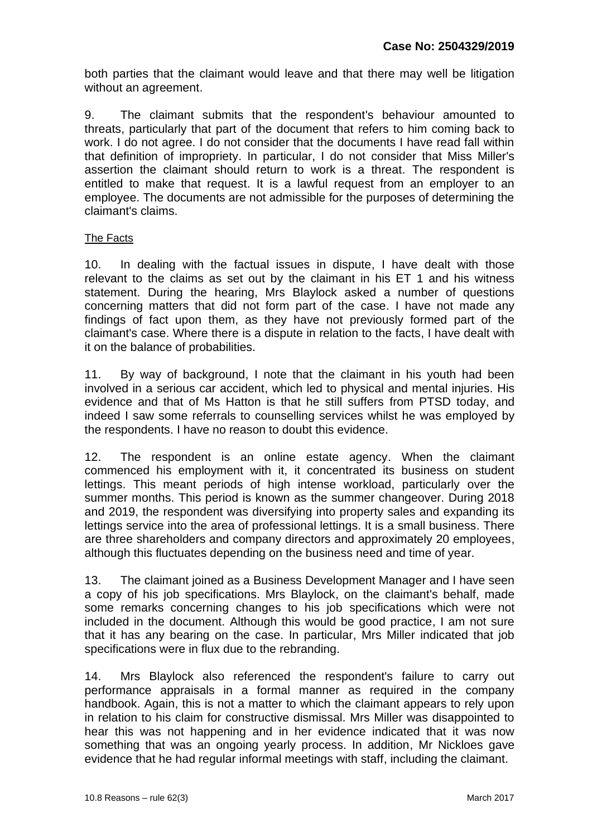both parties that the claimant would leave and that there may well be litigation without an agreement.

9. The claimant submits that the respondent's behaviour amounted to threats, particularly that part of the document that refers to him coming back to work. I do not agree. I do not consider that the documents I have read fall within that definition of impropriety. In particular, I do not consider that Miss Miller's assertion the claimant should return to work is a threat. The respondent is entitled to make that request. It is a lawful request from an employer to an employee. The documents are not admissible for the purposes of determining the claimant's claims.

#### The Facts

10. In dealing with the factual issues in dispute, I have dealt with those relevant to the claims as set out by the claimant in his ET 1 and his witness statement. During the hearing, Mrs Blaylock asked a number of questions concerning matters that did not form part of the case. I have not made any findings of fact upon them, as they have not previously formed part of the claimant's case. Where there is a dispute in relation to the facts, I have dealt with it on the balance of probabilities.

11. By way of background, I note that the claimant in his youth had been involved in a serious car accident, which led to physical and mental injuries. His evidence and that of Ms Hatton is that he still suffers from PTSD today, and indeed I saw some referrals to counselling services whilst he was employed by the respondents. I have no reason to doubt this evidence.

12. The respondent is an online estate agency. When the claimant commenced his employment with it, it concentrated its business on student lettings. This meant periods of high intense workload, particularly over the summer months. This period is known as the summer changeover. During 2018 and 2019, the respondent was diversifying into property sales and expanding its lettings service into the area of professional lettings. It is a small business. There are three shareholders and company directors and approximately 20 employees, although this fluctuates depending on the business need and time of year.

13. The claimant joined as a Business Development Manager and I have seen a copy of his job specifications. Mrs Blaylock, on the claimant's behalf, made some remarks concerning changes to his job specifications which were not included in the document. Although this would be good practice, I am not sure that it has any bearing on the case. In particular, Mrs Miller indicated that job specifications were in flux due to the rebranding.

14. Mrs Blaylock also referenced the respondent's failure to carry out performance appraisals in a formal manner as required in the company handbook. Again, this is not a matter to which the claimant appears to rely upon in relation to his claim for constructive dismissal. Mrs Miller was disappointed to hear this was not happening and in her evidence indicated that it was now something that was an ongoing yearly process. In addition, Mr Nickloes gave evidence that he had regular informal meetings with staff, including the claimant.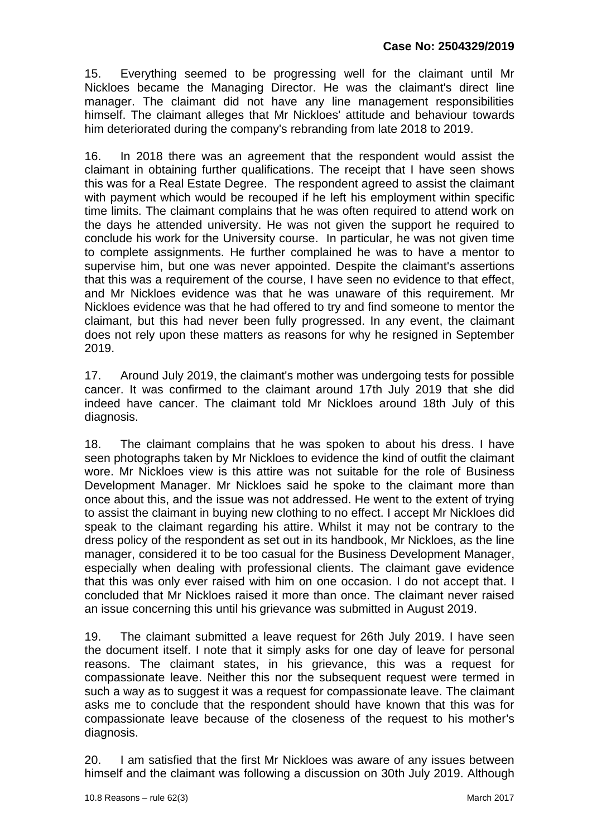15. Everything seemed to be progressing well for the claimant until Mr Nickloes became the Managing Director. He was the claimant's direct line manager. The claimant did not have any line management responsibilities himself. The claimant alleges that Mr Nickloes' attitude and behaviour towards him deteriorated during the company's rebranding from late 2018 to 2019.

16. In 2018 there was an agreement that the respondent would assist the claimant in obtaining further qualifications. The receipt that I have seen shows this was for a Real Estate Degree. The respondent agreed to assist the claimant with payment which would be recouped if he left his employment within specific time limits. The claimant complains that he was often required to attend work on the days he attended university. He was not given the support he required to conclude his work for the University course. In particular, he was not given time to complete assignments. He further complained he was to have a mentor to supervise him, but one was never appointed. Despite the claimant's assertions that this was a requirement of the course, I have seen no evidence to that effect, and Mr Nickloes evidence was that he was unaware of this requirement. Mr Nickloes evidence was that he had offered to try and find someone to mentor the claimant, but this had never been fully progressed. In any event, the claimant does not rely upon these matters as reasons for why he resigned in September 2019.

17. Around July 2019, the claimant's mother was undergoing tests for possible cancer. It was confirmed to the claimant around 17th July 2019 that she did indeed have cancer. The claimant told Mr Nickloes around 18th July of this diagnosis.

18. The claimant complains that he was spoken to about his dress. I have seen photographs taken by Mr Nickloes to evidence the kind of outfit the claimant wore. Mr Nickloes view is this attire was not suitable for the role of Business Development Manager. Mr Nickloes said he spoke to the claimant more than once about this, and the issue was not addressed. He went to the extent of trying to assist the claimant in buying new clothing to no effect. I accept Mr Nickloes did speak to the claimant regarding his attire. Whilst it may not be contrary to the dress policy of the respondent as set out in its handbook, Mr Nickloes, as the line manager, considered it to be too casual for the Business Development Manager, especially when dealing with professional clients. The claimant gave evidence that this was only ever raised with him on one occasion. I do not accept that. I concluded that Mr Nickloes raised it more than once. The claimant never raised an issue concerning this until his grievance was submitted in August 2019.

19. The claimant submitted a leave request for 26th July 2019. I have seen the document itself. I note that it simply asks for one day of leave for personal reasons. The claimant states, in his grievance, this was a request for compassionate leave. Neither this nor the subsequent request were termed in such a way as to suggest it was a request for compassionate leave. The claimant asks me to conclude that the respondent should have known that this was for compassionate leave because of the closeness of the request to his mother's diagnosis.

20. I am satisfied that the first Mr Nickloes was aware of any issues between himself and the claimant was following a discussion on 30th July 2019. Although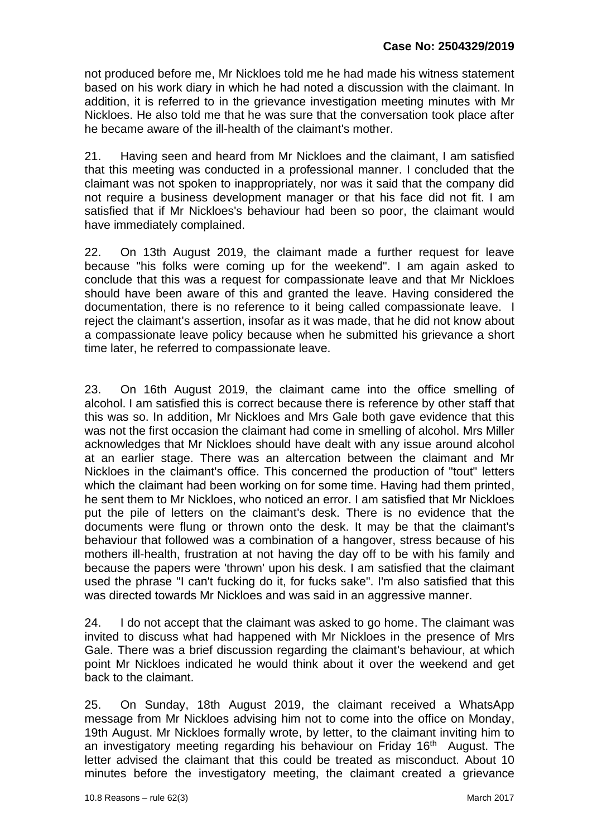not produced before me, Mr Nickloes told me he had made his witness statement based on his work diary in which he had noted a discussion with the claimant. In addition, it is referred to in the grievance investigation meeting minutes with Mr Nickloes. He also told me that he was sure that the conversation took place after he became aware of the ill-health of the claimant's mother.

21. Having seen and heard from Mr Nickloes and the claimant, I am satisfied that this meeting was conducted in a professional manner. I concluded that the claimant was not spoken to inappropriately, nor was it said that the company did not require a business development manager or that his face did not fit. I am satisfied that if Mr Nickloes's behaviour had been so poor, the claimant would have immediately complained.

22. On 13th August 2019, the claimant made a further request for leave because "his folks were coming up for the weekend". I am again asked to conclude that this was a request for compassionate leave and that Mr Nickloes should have been aware of this and granted the leave. Having considered the documentation, there is no reference to it being called compassionate leave. I reject the claimant's assertion, insofar as it was made, that he did not know about a compassionate leave policy because when he submitted his grievance a short time later, he referred to compassionate leave.

23. On 16th August 2019, the claimant came into the office smelling of alcohol. I am satisfied this is correct because there is reference by other staff that this was so. In addition, Mr Nickloes and Mrs Gale both gave evidence that this was not the first occasion the claimant had come in smelling of alcohol. Mrs Miller acknowledges that Mr Nickloes should have dealt with any issue around alcohol at an earlier stage. There was an altercation between the claimant and Mr Nickloes in the claimant's office. This concerned the production of "tout" letters which the claimant had been working on for some time. Having had them printed, he sent them to Mr Nickloes, who noticed an error. I am satisfied that Mr Nickloes put the pile of letters on the claimant's desk. There is no evidence that the documents were flung or thrown onto the desk. It may be that the claimant's behaviour that followed was a combination of a hangover, stress because of his mothers ill-health, frustration at not having the day off to be with his family and because the papers were 'thrown' upon his desk. I am satisfied that the claimant used the phrase "I can't fucking do it, for fucks sake". I'm also satisfied that this was directed towards Mr Nickloes and was said in an aggressive manner.

24. I do not accept that the claimant was asked to go home. The claimant was invited to discuss what had happened with Mr Nickloes in the presence of Mrs Gale. There was a brief discussion regarding the claimant's behaviour, at which point Mr Nickloes indicated he would think about it over the weekend and get back to the claimant.

25. On Sunday, 18th August 2019, the claimant received a WhatsApp message from Mr Nickloes advising him not to come into the office on Monday, 19th August. Mr Nickloes formally wrote, by letter, to the claimant inviting him to an investigatory meeting regarding his behaviour on Friday 16<sup>th</sup> August. The letter advised the claimant that this could be treated as misconduct. About 10 minutes before the investigatory meeting, the claimant created a grievance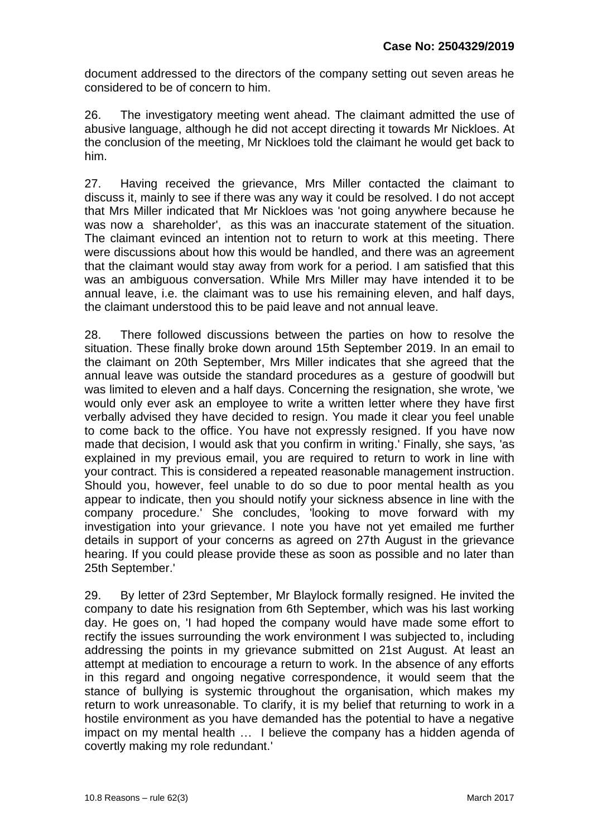document addressed to the directors of the company setting out seven areas he considered to be of concern to him.

26. The investigatory meeting went ahead. The claimant admitted the use of abusive language, although he did not accept directing it towards Mr Nickloes. At the conclusion of the meeting, Mr Nickloes told the claimant he would get back to him.

27. Having received the grievance, Mrs Miller contacted the claimant to discuss it, mainly to see if there was any way it could be resolved. I do not accept that Mrs Miller indicated that Mr Nickloes was 'not going anywhere because he was now a shareholder', as this was an inaccurate statement of the situation. The claimant evinced an intention not to return to work at this meeting. There were discussions about how this would be handled, and there was an agreement that the claimant would stay away from work for a period. I am satisfied that this was an ambiguous conversation. While Mrs Miller may have intended it to be annual leave, i.e. the claimant was to use his remaining eleven, and half days, the claimant understood this to be paid leave and not annual leave.

28. There followed discussions between the parties on how to resolve the situation. These finally broke down around 15th September 2019. In an email to the claimant on 20th September, Mrs Miller indicates that she agreed that the annual leave was outside the standard procedures as a gesture of goodwill but was limited to eleven and a half days. Concerning the resignation, she wrote, 'we would only ever ask an employee to write a written letter where they have first verbally advised they have decided to resign. You made it clear you feel unable to come back to the office. You have not expressly resigned. If you have now made that decision, I would ask that you confirm in writing.' Finally, she says, 'as explained in my previous email, you are required to return to work in line with your contract. This is considered a repeated reasonable management instruction. Should you, however, feel unable to do so due to poor mental health as you appear to indicate, then you should notify your sickness absence in line with the company procedure.' She concludes, 'looking to move forward with my investigation into your grievance. I note you have not yet emailed me further details in support of your concerns as agreed on 27th August in the grievance hearing. If you could please provide these as soon as possible and no later than 25th September.'

29. By letter of 23rd September, Mr Blaylock formally resigned. He invited the company to date his resignation from 6th September, which was his last working day. He goes on, 'I had hoped the company would have made some effort to rectify the issues surrounding the work environment I was subjected to, including addressing the points in my grievance submitted on 21st August. At least an attempt at mediation to encourage a return to work. In the absence of any efforts in this regard and ongoing negative correspondence, it would seem that the stance of bullying is systemic throughout the organisation, which makes my return to work unreasonable. To clarify, it is my belief that returning to work in a hostile environment as you have demanded has the potential to have a negative impact on my mental health … I believe the company has a hidden agenda of covertly making my role redundant.'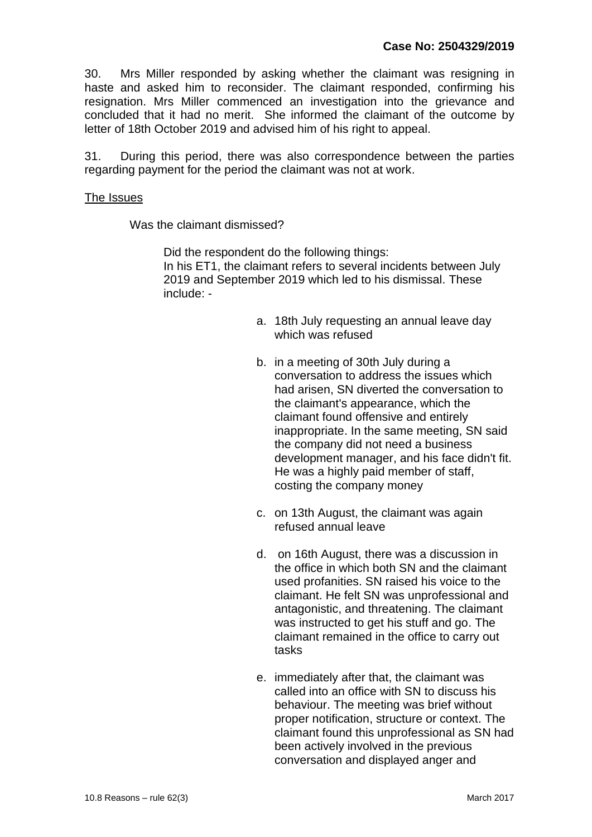30. Mrs Miller responded by asking whether the claimant was resigning in haste and asked him to reconsider. The claimant responded, confirming his resignation. Mrs Miller commenced an investigation into the grievance and concluded that it had no merit. She informed the claimant of the outcome by letter of 18th October 2019 and advised him of his right to appeal.

31. During this period, there was also correspondence between the parties regarding payment for the period the claimant was not at work.

#### The Issues

Was the claimant dismissed?

Did the respondent do the following things: In his ET1, the claimant refers to several incidents between July 2019 and September 2019 which led to his dismissal. These include: -

- a. 18th July requesting an annual leave day which was refused
- b. in a meeting of 30th July during a conversation to address the issues which had arisen, SN diverted the conversation to the claimant's appearance, which the claimant found offensive and entirely inappropriate. In the same meeting, SN said the company did not need a business development manager, and his face didn't fit. He was a highly paid member of staff, costing the company money
- c. on 13th August, the claimant was again refused annual leave
- d. on 16th August, there was a discussion in the office in which both SN and the claimant used profanities. SN raised his voice to the claimant. He felt SN was unprofessional and antagonistic, and threatening. The claimant was instructed to get his stuff and go. The claimant remained in the office to carry out tasks
- e. immediately after that, the claimant was called into an office with SN to discuss his behaviour. The meeting was brief without proper notification, structure or context. The claimant found this unprofessional as SN had been actively involved in the previous conversation and displayed anger and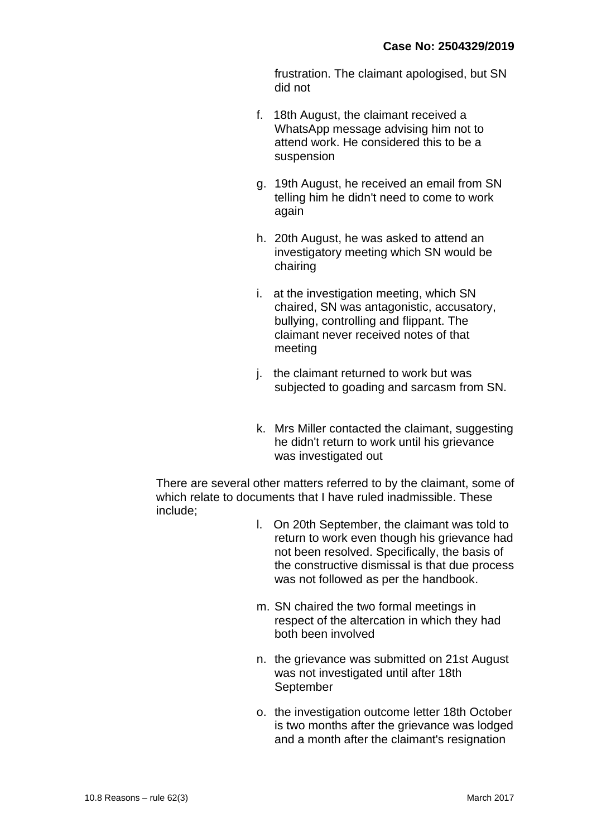frustration. The claimant apologised, but SN did not

- f. 18th August, the claimant received a WhatsApp message advising him not to attend work. He considered this to be a suspension
- g. 19th August, he received an email from SN telling him he didn't need to come to work again
- h. 20th August, he was asked to attend an investigatory meeting which SN would be chairing
- i. at the investigation meeting, which SN chaired, SN was antagonistic, accusatory, bullying, controlling and flippant. The claimant never received notes of that meeting
- j. the claimant returned to work but was subjected to goading and sarcasm from SN.
- k. Mrs Miller contacted the claimant, suggesting he didn't return to work until his grievance was investigated out

There are several other matters referred to by the claimant, some of which relate to documents that I have ruled inadmissible. These include;

- l. On 20th September, the claimant was told to return to work even though his grievance had not been resolved. Specifically, the basis of the constructive dismissal is that due process was not followed as per the handbook.
- m. SN chaired the two formal meetings in respect of the altercation in which they had both been involved
- n. the grievance was submitted on 21st August was not investigated until after 18th September
- o. the investigation outcome letter 18th October is two months after the grievance was lodged and a month after the claimant's resignation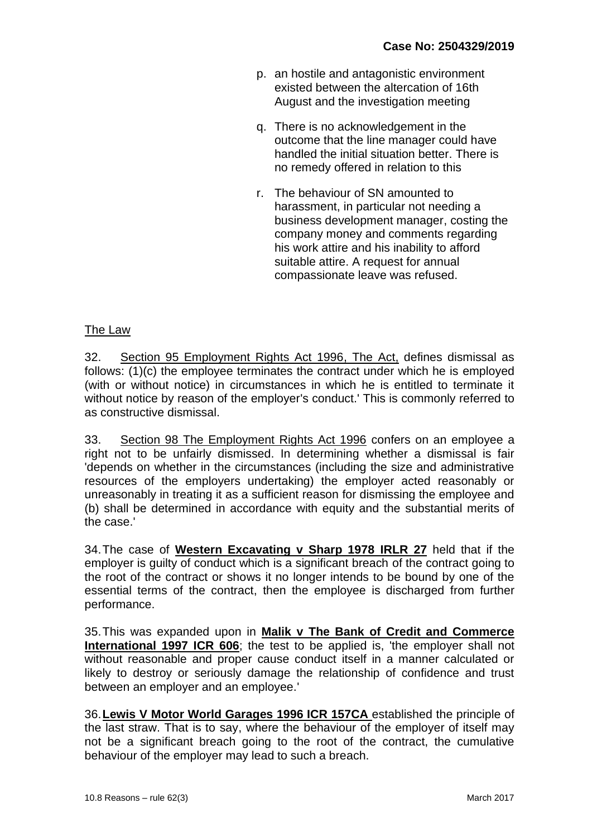- p. an hostile and antagonistic environment existed between the altercation of 16th August and the investigation meeting
- q. There is no acknowledgement in the outcome that the line manager could have handled the initial situation better. There is no remedy offered in relation to this
- r. The behaviour of SN amounted to harassment, in particular not needing a business development manager, costing the company money and comments regarding his work attire and his inability to afford suitable attire. A request for annual compassionate leave was refused.

#### The Law

32. Section 95 Employment Rights Act 1996, The Act, defines dismissal as follows: (1)(c) the employee terminates the contract under which he is employed (with or without notice) in circumstances in which he is entitled to terminate it without notice by reason of the employer's conduct.' This is commonly referred to as constructive dismissal.

33. Section 98 The Employment Rights Act 1996 confers on an employee a right not to be unfairly dismissed. In determining whether a dismissal is fair 'depends on whether in the circumstances (including the size and administrative resources of the employers undertaking) the employer acted reasonably or unreasonably in treating it as a sufficient reason for dismissing the employee and (b) shall be determined in accordance with equity and the substantial merits of the case.'

34.The case of **Western Excavating v Sharp 1978 IRLR 27** held that if the employer is quilty of conduct which is a significant breach of the contract going to the root of the contract or shows it no longer intends to be bound by one of the essential terms of the contract, then the employee is discharged from further performance.

35.This was expanded upon in **Malik v The Bank of Credit and Commerce International 1997 ICR 606**; the test to be applied is, 'the employer shall not without reasonable and proper cause conduct itself in a manner calculated or likely to destroy or seriously damage the relationship of confidence and trust between an employer and an employee.'

36.**Lewis V Motor World Garages 1996 ICR 157CA** established the principle of the last straw. That is to say, where the behaviour of the employer of itself may not be a significant breach going to the root of the contract, the cumulative behaviour of the employer may lead to such a breach.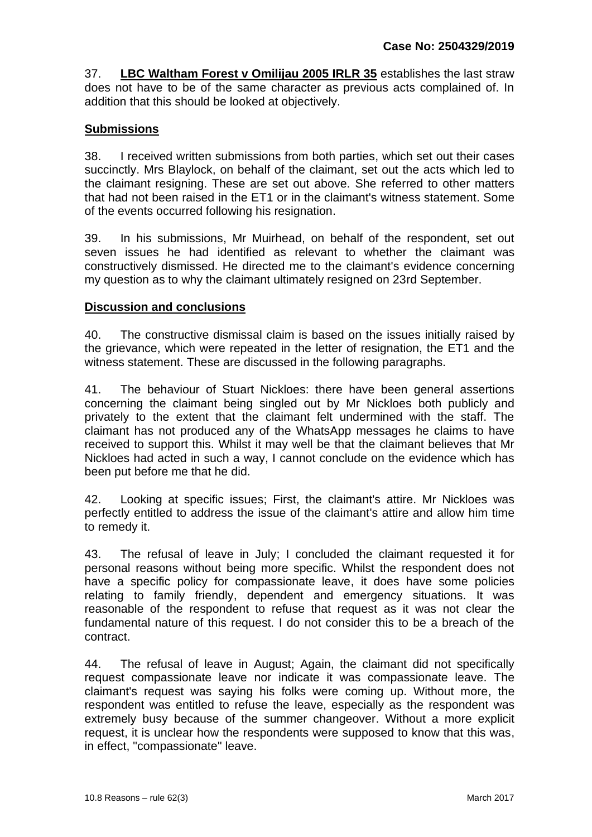37. **LBC Waltham Forest v Omilijau 2005 IRLR 35** establishes the last straw does not have to be of the same character as previous acts complained of. In addition that this should be looked at objectively.

# **Submissions**

38. I received written submissions from both parties, which set out their cases succinctly. Mrs Blaylock, on behalf of the claimant, set out the acts which led to the claimant resigning. These are set out above. She referred to other matters that had not been raised in the ET1 or in the claimant's witness statement. Some of the events occurred following his resignation.

39. In his submissions, Mr Muirhead, on behalf of the respondent, set out seven issues he had identified as relevant to whether the claimant was constructively dismissed. He directed me to the claimant's evidence concerning my question as to why the claimant ultimately resigned on 23rd September.

## **Discussion and conclusions**

40. The constructive dismissal claim is based on the issues initially raised by the grievance, which were repeated in the letter of resignation, the ET1 and the witness statement. These are discussed in the following paragraphs.

41. The behaviour of Stuart Nickloes: there have been general assertions concerning the claimant being singled out by Mr Nickloes both publicly and privately to the extent that the claimant felt undermined with the staff. The claimant has not produced any of the WhatsApp messages he claims to have received to support this. Whilst it may well be that the claimant believes that Mr Nickloes had acted in such a way, I cannot conclude on the evidence which has been put before me that he did.

42. Looking at specific issues; First, the claimant's attire. Mr Nickloes was perfectly entitled to address the issue of the claimant's attire and allow him time to remedy it.

43. The refusal of leave in July; I concluded the claimant requested it for personal reasons without being more specific. Whilst the respondent does not have a specific policy for compassionate leave, it does have some policies relating to family friendly, dependent and emergency situations. It was reasonable of the respondent to refuse that request as it was not clear the fundamental nature of this request. I do not consider this to be a breach of the contract.

44. The refusal of leave in August; Again, the claimant did not specifically request compassionate leave nor indicate it was compassionate leave. The claimant's request was saying his folks were coming up. Without more, the respondent was entitled to refuse the leave, especially as the respondent was extremely busy because of the summer changeover. Without a more explicit request, it is unclear how the respondents were supposed to know that this was, in effect, "compassionate" leave.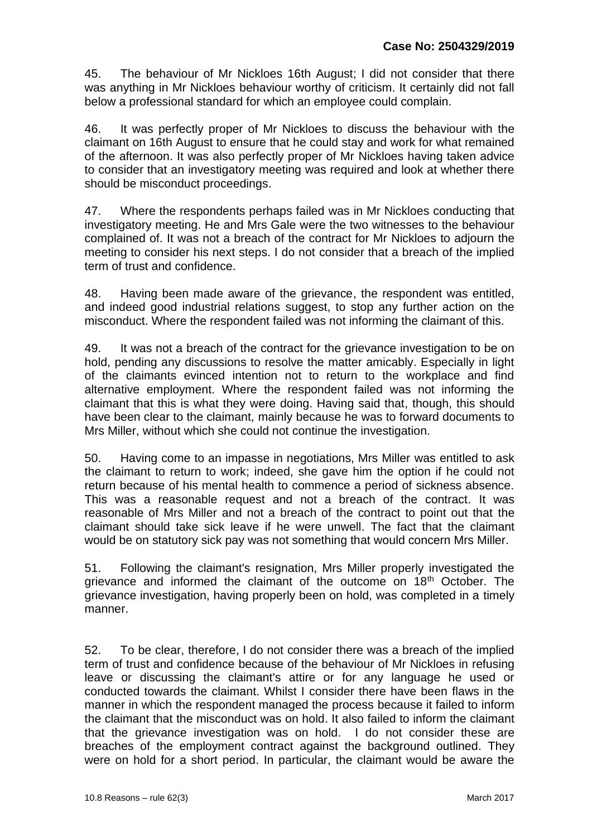45. The behaviour of Mr Nickloes 16th August; I did not consider that there was anything in Mr Nickloes behaviour worthy of criticism. It certainly did not fall below a professional standard for which an employee could complain.

46. It was perfectly proper of Mr Nickloes to discuss the behaviour with the claimant on 16th August to ensure that he could stay and work for what remained of the afternoon. It was also perfectly proper of Mr Nickloes having taken advice to consider that an investigatory meeting was required and look at whether there should be misconduct proceedings.

47. Where the respondents perhaps failed was in Mr Nickloes conducting that investigatory meeting. He and Mrs Gale were the two witnesses to the behaviour complained of. It was not a breach of the contract for Mr Nickloes to adjourn the meeting to consider his next steps. I do not consider that a breach of the implied term of trust and confidence.

48. Having been made aware of the grievance, the respondent was entitled, and indeed good industrial relations suggest, to stop any further action on the misconduct. Where the respondent failed was not informing the claimant of this.

49. It was not a breach of the contract for the grievance investigation to be on hold, pending any discussions to resolve the matter amicably. Especially in light of the claimants evinced intention not to return to the workplace and find alternative employment. Where the respondent failed was not informing the claimant that this is what they were doing. Having said that, though, this should have been clear to the claimant, mainly because he was to forward documents to Mrs Miller, without which she could not continue the investigation.

50. Having come to an impasse in negotiations, Mrs Miller was entitled to ask the claimant to return to work; indeed, she gave him the option if he could not return because of his mental health to commence a period of sickness absence. This was a reasonable request and not a breach of the contract. It was reasonable of Mrs Miller and not a breach of the contract to point out that the claimant should take sick leave if he were unwell. The fact that the claimant would be on statutory sick pay was not something that would concern Mrs Miller.

51. Following the claimant's resignation, Mrs Miller properly investigated the grievance and informed the claimant of the outcome on 18<sup>th</sup> October. The grievance investigation, having properly been on hold, was completed in a timely manner.

52. To be clear, therefore, I do not consider there was a breach of the implied term of trust and confidence because of the behaviour of Mr Nickloes in refusing leave or discussing the claimant's attire or for any language he used or conducted towards the claimant. Whilst I consider there have been flaws in the manner in which the respondent managed the process because it failed to inform the claimant that the misconduct was on hold. It also failed to inform the claimant that the grievance investigation was on hold. I do not consider these are breaches of the employment contract against the background outlined. They were on hold for a short period. In particular, the claimant would be aware the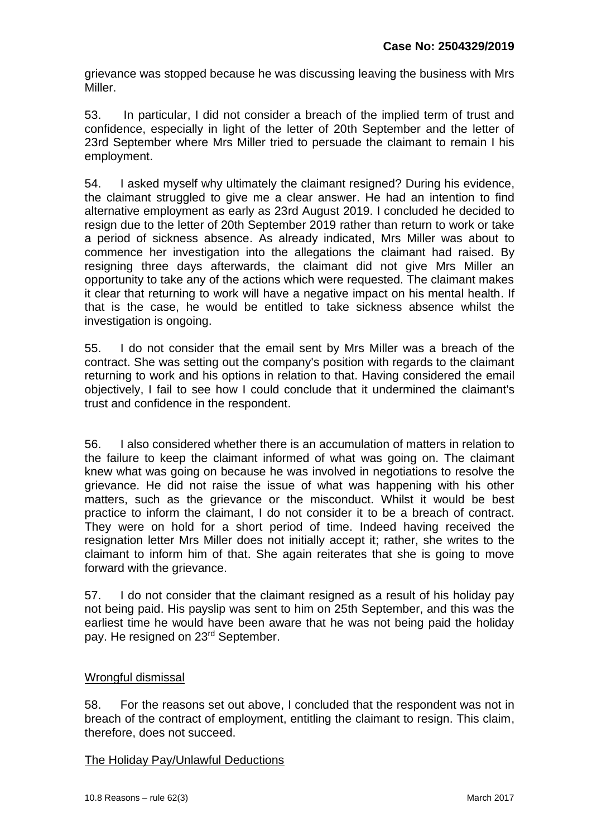grievance was stopped because he was discussing leaving the business with Mrs Miller.

53. In particular, I did not consider a breach of the implied term of trust and confidence, especially in light of the letter of 20th September and the letter of 23rd September where Mrs Miller tried to persuade the claimant to remain I his employment.

54. I asked myself why ultimately the claimant resigned? During his evidence, the claimant struggled to give me a clear answer. He had an intention to find alternative employment as early as 23rd August 2019. I concluded he decided to resign due to the letter of 20th September 2019 rather than return to work or take a period of sickness absence. As already indicated, Mrs Miller was about to commence her investigation into the allegations the claimant had raised. By resigning three days afterwards, the claimant did not give Mrs Miller an opportunity to take any of the actions which were requested. The claimant makes it clear that returning to work will have a negative impact on his mental health. If that is the case, he would be entitled to take sickness absence whilst the investigation is ongoing.

55. I do not consider that the email sent by Mrs Miller was a breach of the contract. She was setting out the company's position with regards to the claimant returning to work and his options in relation to that. Having considered the email objectively, I fail to see how I could conclude that it undermined the claimant's trust and confidence in the respondent.

56. I also considered whether there is an accumulation of matters in relation to the failure to keep the claimant informed of what was going on. The claimant knew what was going on because he was involved in negotiations to resolve the grievance. He did not raise the issue of what was happening with his other matters, such as the grievance or the misconduct. Whilst it would be best practice to inform the claimant, I do not consider it to be a breach of contract. They were on hold for a short period of time. Indeed having received the resignation letter Mrs Miller does not initially accept it; rather, she writes to the claimant to inform him of that. She again reiterates that she is going to move forward with the grievance.

57. I do not consider that the claimant resigned as a result of his holiday pay not being paid. His payslip was sent to him on 25th September, and this was the earliest time he would have been aware that he was not being paid the holiday pay. He resigned on 23<sup>rd</sup> September.

#### Wrongful dismissal

58. For the reasons set out above, I concluded that the respondent was not in breach of the contract of employment, entitling the claimant to resign. This claim, therefore, does not succeed.

#### The Holiday Pay/Unlawful Deductions